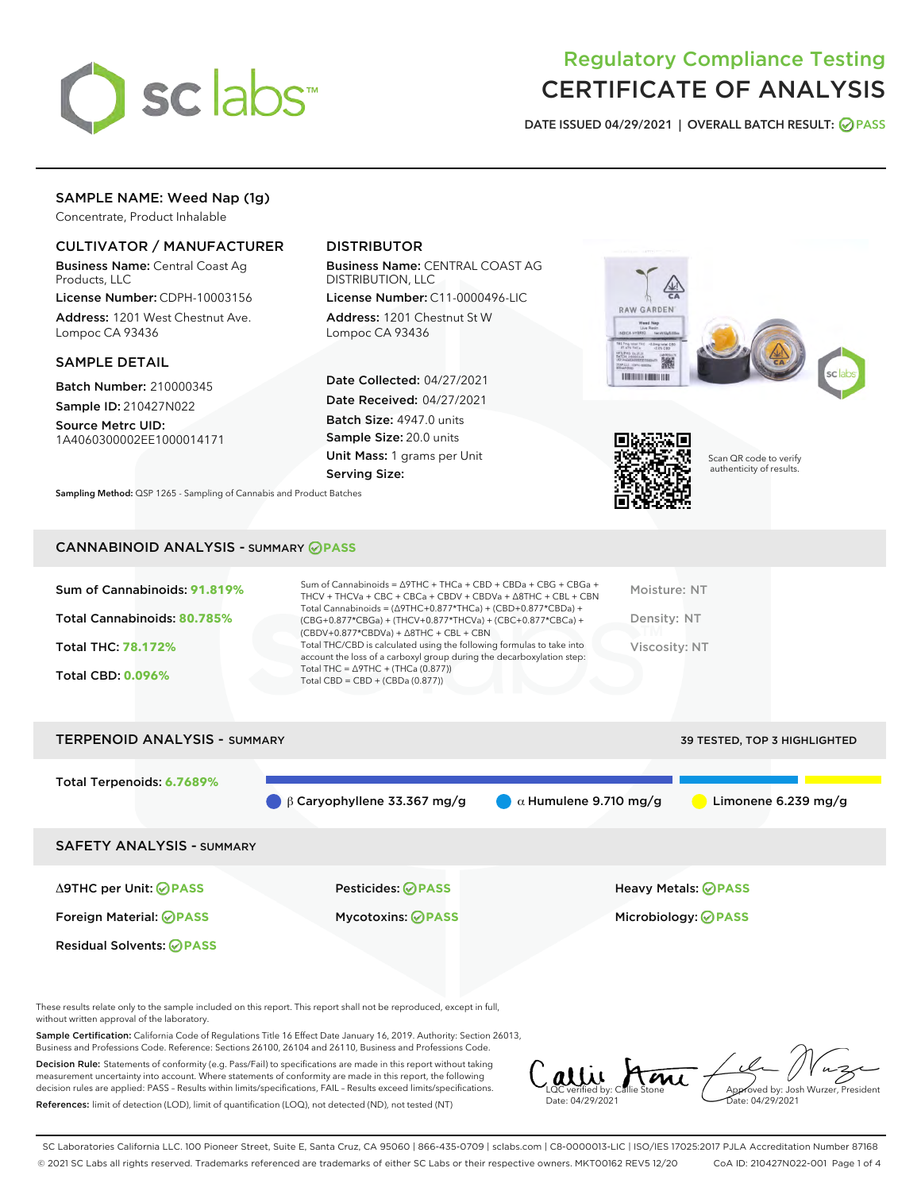

## Regulatory Compliance Testing CERTIFICATE OF ANALYSIS

DATE ISSUED 04/29/2021 | OVERALL BATCH RESULT: @ PASS

## SAMPLE NAME: Weed Nap (1g)

Concentrate, Product Inhalable

## CULTIVATOR / MANUFACTURER

Business Name: Central Coast Ag Products, LLC

License Number: CDPH-10003156 Address: 1201 West Chestnut Ave. Lompoc CA 93436

#### SAMPLE DETAIL

Batch Number: 210000345 Sample ID: 210427N022

Source Metrc UID:

1A4060300002EE1000014171

## DISTRIBUTOR

Business Name: CENTRAL COAST AG DISTRIBUTION, LLC

License Number: C11-0000496-LIC Address: 1201 Chestnut St W Lompoc CA 93436

Date Collected: 04/27/2021 Date Received: 04/27/2021 Batch Size: 4947.0 units Sample Size: 20.0 units Unit Mass: 1 grams per Unit Serving Size:

Sampling Method: QSP 1265 - Sampling of Cannabis and Product Batches





Scan QR code to verify authenticity of results.

#### CANNABINOID ANALYSIS - SUMMARY **PASS**

| Sum of Cannabinoids: 91.819% | Sum of Cannabinoids = $\triangle$ 9THC + THCa + CBD + CBDa + CBG + CBGa +<br>THCV + THCVa + CBC + CBCa + CBDV + CBDVa + $\Delta$ 8THC + CBL + CBN                                    | Moisture: NT  |
|------------------------------|--------------------------------------------------------------------------------------------------------------------------------------------------------------------------------------|---------------|
| Total Cannabinoids: 80.785%  | Total Cannabinoids = $(\Delta$ 9THC+0.877*THCa) + (CBD+0.877*CBDa) +<br>(CBG+0.877*CBGa) + (THCV+0.877*THCVa) + (CBC+0.877*CBCa) +<br>$(CBDV+0.877*CBDVa) + \Delta 8THC + CBL + CBN$ | Density: NT   |
| <b>Total THC: 78.172%</b>    | Total THC/CBD is calculated using the following formulas to take into<br>account the loss of a carboxyl group during the decarboxylation step:                                       | Viscosity: NT |
| <b>Total CBD: 0.096%</b>     | Total THC = $\triangle$ 9THC + (THCa (0.877))<br>Total CBD = $CBD + (CBDa (0.877))$                                                                                                  |               |
|                              |                                                                                                                                                                                      |               |

# TERPENOID ANALYSIS - SUMMARY 39 TESTED, TOP 3 HIGHLIGHTED Total Terpenoids: **6.7689% β Caryophyllene 33.367 mg/g a** Alumulene 9.710 mg/g **a** Limonene 6.239 mg/g SAFETY ANALYSIS - SUMMARY Δ9THC per Unit: **PASS** Pesticides: **PASS** Heavy Metals: **PASS** Foreign Material: **PASS** Mycotoxins: **PASS** Microbiology: **PASS** Residual Solvents: **OPASS**

These results relate only to the sample included on this report. This report shall not be reproduced, except in full, without written approval of the laboratory.

Sample Certification: California Code of Regulations Title 16 Effect Date January 16, 2019. Authority: Section 26013, Business and Professions Code. Reference: Sections 26100, 26104 and 26110, Business and Professions Code.

Decision Rule: Statements of conformity (e.g. Pass/Fail) to specifications are made in this report without taking measurement uncertainty into account. Where statements of conformity are made in this report, the following decision rules are applied: PASS – Results within limits/specifications, FAIL – Results exceed limits/specifications. References: limit of detection (LOD), limit of quantification (LOQ), not detected (ND), not tested (NT)

alli Ami Approved by: Josh Wurzer, President LQC verified by: Callie Stone Date: 04/29/2021 Date: 04/29/2021

SC Laboratories California LLC. 100 Pioneer Street, Suite E, Santa Cruz, CA 95060 | 866-435-0709 | sclabs.com | C8-0000013-LIC | ISO/IES 17025:2017 PJLA Accreditation Number 87168 © 2021 SC Labs all rights reserved. Trademarks referenced are trademarks of either SC Labs or their respective owners. MKT00162 REV5 12/20 CoA ID: 210427N022-001 Page 1 of 4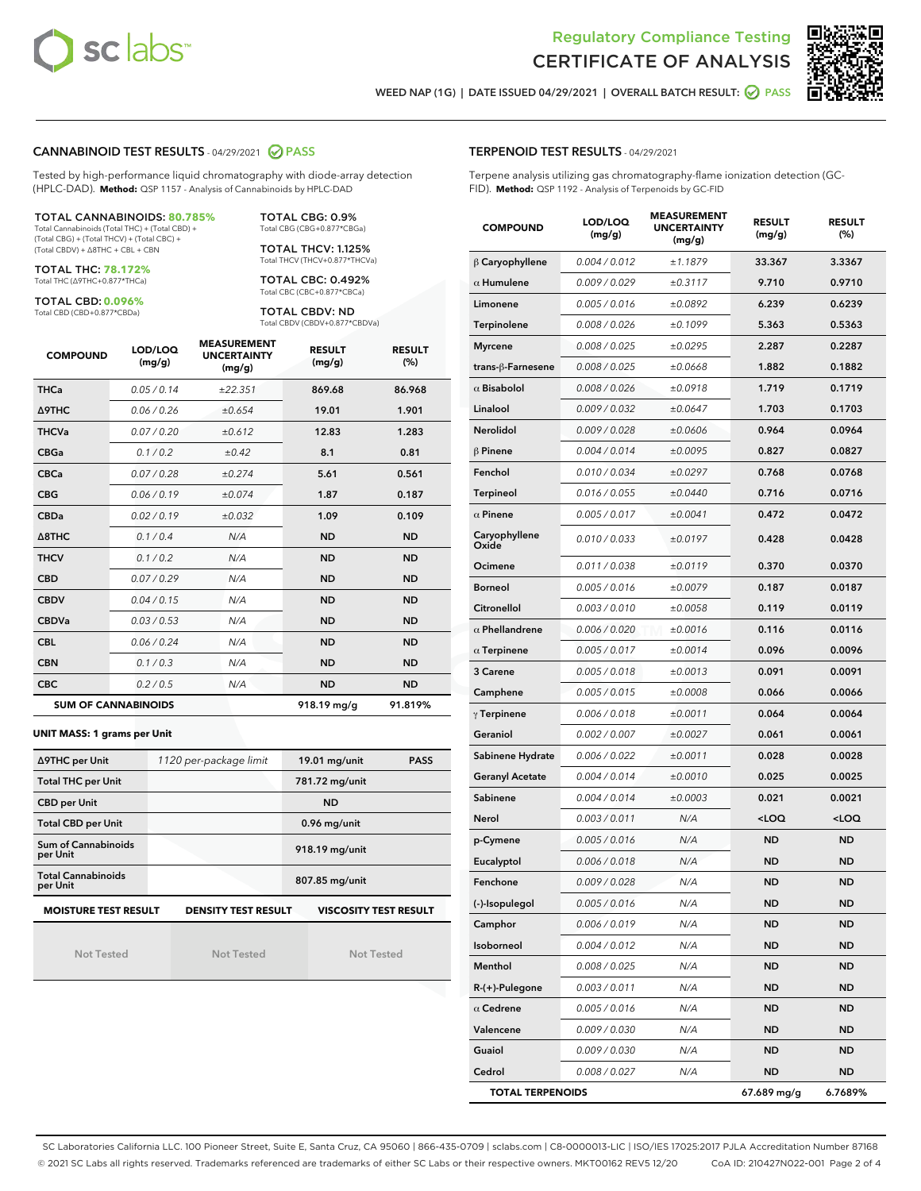



WEED NAP (1G) | DATE ISSUED 04/29/2021 | OVERALL BATCH RESULT: 0 PASS

#### CANNABINOID TEST RESULTS - 04/29/2021 2 PASS

Tested by high-performance liquid chromatography with diode-array detection (HPLC-DAD). **Method:** QSP 1157 - Analysis of Cannabinoids by HPLC-DAD

#### TOTAL CANNABINOIDS: **80.785%**

Total Cannabinoids (Total THC) + (Total CBD) + (Total CBG) + (Total THCV) + (Total CBC) + (Total CBDV) + ∆8THC + CBL + CBN

TOTAL THC: **78.172%** Total THC (∆9THC+0.877\*THCa)

TOTAL CBD: **0.096%**

Total CBD (CBD+0.877\*CBDa)

TOTAL CBG: 0.9% Total CBG (CBG+0.877\*CBGa) TOTAL THCV: 1.125%

Total THCV (THCV+0.877\*THCVa) TOTAL CBC: 0.492%

Total CBC (CBC+0.877\*CBCa)

TOTAL CBDV: ND Total CBDV (CBDV+0.877\*CBDVa)

| <b>COMPOUND</b> | LOD/LOQ<br>(mg/g)          | <b>MEASUREMENT</b><br><b>UNCERTAINTY</b><br>(mg/g) | <b>RESULT</b><br>(mg/g) | <b>RESULT</b><br>(%) |
|-----------------|----------------------------|----------------------------------------------------|-------------------------|----------------------|
| <b>THCa</b>     | 0.05/0.14                  | ±22.351                                            | 869.68                  | 86.968               |
| <b>A9THC</b>    | 0.06 / 0.26                | ±0.654                                             | 19.01                   | 1.901                |
| <b>THCVa</b>    | 0.07/0.20                  | ±0.612                                             | 12.83                   | 1.283                |
| <b>CBGa</b>     | 0.1/0.2                    | $\pm 0.42$                                         | 8.1                     | 0.81                 |
| <b>CBCa</b>     | 0.07/0.28                  | ±0.274                                             | 5.61                    | 0.561                |
| <b>CBG</b>      | 0.06/0.19                  | ±0.074                                             | 1.87                    | 0.187                |
| <b>CBDa</b>     | 0.02/0.19                  | ±0.032                                             | 1.09                    | 0.109                |
| A8THC           | 0.1/0.4                    | N/A                                                | <b>ND</b>               | <b>ND</b>            |
| <b>THCV</b>     | 0.1/0.2                    | N/A                                                | <b>ND</b>               | <b>ND</b>            |
| <b>CBD</b>      | 0.07/0.29                  | N/A                                                | <b>ND</b>               | <b>ND</b>            |
| <b>CBDV</b>     | 0.04 / 0.15                | N/A                                                | <b>ND</b>               | <b>ND</b>            |
| <b>CBDVa</b>    | 0.03/0.53                  | N/A                                                | <b>ND</b>               | <b>ND</b>            |
| <b>CBL</b>      | 0.06 / 0.24                | N/A                                                | <b>ND</b>               | <b>ND</b>            |
| <b>CBN</b>      | 0.1/0.3                    | N/A                                                | <b>ND</b>               | <b>ND</b>            |
| <b>CBC</b>      | 0.2 / 0.5                  | N/A                                                | <b>ND</b>               | <b>ND</b>            |
|                 | <b>SUM OF CANNABINOIDS</b> |                                                    | 918.19 mg/g             | 91.819%              |

#### **UNIT MASS: 1 grams per Unit**

| ∆9THC per Unit                        | 1120 per-package limit     | $19.01$ mg/unit<br><b>PASS</b> |  |
|---------------------------------------|----------------------------|--------------------------------|--|
| <b>Total THC per Unit</b>             |                            | 781.72 mg/unit                 |  |
| <b>CBD per Unit</b>                   |                            | <b>ND</b>                      |  |
| <b>Total CBD per Unit</b>             |                            | 0.96 mg/unit                   |  |
| Sum of Cannabinoids<br>per Unit       |                            | 918.19 mg/unit                 |  |
| <b>Total Cannabinoids</b><br>per Unit |                            | 807.85 mg/unit                 |  |
| <b>MOISTURE TEST RESULT</b>           | <b>DENSITY TEST RESULT</b> | <b>VISCOSITY TEST RESULT</b>   |  |

Not Tested

Not Tested

Not Tested

#### TERPENOID TEST RESULTS - 04/29/2021

Terpene analysis utilizing gas chromatography-flame ionization detection (GC-FID). **Method:** QSP 1192 - Analysis of Terpenoids by GC-FID

| <b>COMPOUND</b>         | LOD/LOQ<br>(mg/g) | <b>MEASUREMENT</b><br><b>UNCERTAINTY</b><br>(mg/g) | <b>RESULT</b><br>(mg/g)                         | <b>RESULT</b><br>$(\%)$ |
|-------------------------|-------------------|----------------------------------------------------|-------------------------------------------------|-------------------------|
| $\beta$ Caryophyllene   | 0.004 / 0.012     | ±1.1879                                            | 33.367                                          | 3.3367                  |
| $\alpha$ Humulene       | 0.009 / 0.029     | ±0.3117                                            | 9.710                                           | 0.9710                  |
| Limonene                | 0.005 / 0.016     | ±0.0892                                            | 6.239                                           | 0.6239                  |
| Terpinolene             | 0.008 / 0.026     | ±0.1099                                            | 5.363                                           | 0.5363                  |
| <b>Myrcene</b>          | 0.008 / 0.025     | ±0.0295                                            | 2.287                                           | 0.2287                  |
| trans-β-Farnesene       | 0.008 / 0.025     | ±0.0668                                            | 1.882                                           | 0.1882                  |
| $\alpha$ Bisabolol      | 0.008 / 0.026     | ±0.0918                                            | 1.719                                           | 0.1719                  |
| Linalool                | 0.009 / 0.032     | ±0.0647                                            | 1.703                                           | 0.1703                  |
| Nerolidol               | 0.009 / 0.028     | ±0.0606                                            | 0.964                                           | 0.0964                  |
| $\beta$ Pinene          | 0.004 / 0.014     | ±0.0095                                            | 0.827                                           | 0.0827                  |
| Fenchol                 | 0.010 / 0.034     | ±0.0297                                            | 0.768                                           | 0.0768                  |
| Terpineol               | 0.016 / 0.055     | ±0.0440                                            | 0.716                                           | 0.0716                  |
| $\alpha$ Pinene         | 0.005 / 0.017     | ±0.0041                                            | 0.472                                           | 0.0472                  |
| Caryophyllene<br>Oxide  | 0.010 / 0.033     | ±0.0197                                            | 0.428                                           | 0.0428                  |
| Ocimene                 | 0.011 / 0.038     | ±0.0119                                            | 0.370                                           | 0.0370                  |
| <b>Borneol</b>          | 0.005 / 0.016     | ±0.0079                                            | 0.187                                           | 0.0187                  |
| Citronellol             | 0.003 / 0.010     | ±0.0058                                            | 0.119                                           | 0.0119                  |
| $\alpha$ Phellandrene   | 0.006 / 0.020     | ±0.0016                                            | 0.116                                           | 0.0116                  |
| $\alpha$ Terpinene      | 0.005 / 0.017     | ±0.0014                                            | 0.096                                           | 0.0096                  |
| 3 Carene                | 0.005 / 0.018     | ±0.0013                                            | 0.091                                           | 0.0091                  |
| Camphene                | 0.005 / 0.015     | ±0.0008                                            | 0.066                                           | 0.0066                  |
| $\gamma$ Terpinene      | 0.006 / 0.018     | ±0.0011                                            | 0.064                                           | 0.0064                  |
| Geraniol                | 0.002 / 0.007     | ±0.0027                                            | 0.061                                           | 0.0061                  |
| Sabinene Hydrate        | 0.006 / 0.022     | ±0.0011                                            | 0.028                                           | 0.0028                  |
| <b>Geranyl Acetate</b>  | 0.004 / 0.014     | ±0.0010                                            | 0.025                                           | 0.0025                  |
| Sabinene                | 0.004 / 0.014     | ±0.0003                                            | 0.021                                           | 0.0021                  |
| Nerol                   | 0.003 / 0.011     | N/A                                                | <loq< th=""><th><loq< th=""></loq<></th></loq<> | <loq< th=""></loq<>     |
| p-Cymene                | 0.005 / 0.016     | N/A                                                | <b>ND</b>                                       | <b>ND</b>               |
| Eucalyptol              | 0.006 / 0.018     | N/A                                                | ND                                              | <b>ND</b>               |
| Fenchone                | 0.009 / 0.028     | N/A                                                | <b>ND</b>                                       | <b>ND</b>               |
| (-)-Isopulegol          | 0.005 / 0.016     | N/A                                                | ND                                              | <b>ND</b>               |
| Camphor                 | 0.006 / 0.019     | N/A                                                | ND                                              | ND                      |
| Isoborneol              | 0.004 / 0.012     | N/A                                                | ND                                              | <b>ND</b>               |
| Menthol                 | 0.008 / 0.025     | N/A                                                | ND                                              | <b>ND</b>               |
| R-(+)-Pulegone          | 0.003 / 0.011     | N/A                                                | ND                                              | ND                      |
| $\alpha$ Cedrene        | 0.005 / 0.016     | N/A                                                | ND                                              | ND                      |
| Valencene               | 0.009 / 0.030     | N/A                                                | ND                                              | ND                      |
| Guaiol                  | 0.009 / 0.030     | N/A                                                | ND                                              | ND                      |
| Cedrol                  | 0.008 / 0.027     | N/A                                                | ND                                              | <b>ND</b>               |
| <b>TOTAL TERPENOIDS</b> |                   |                                                    | 67.689 mg/g                                     | 6.7689%                 |

SC Laboratories California LLC. 100 Pioneer Street, Suite E, Santa Cruz, CA 95060 | 866-435-0709 | sclabs.com | C8-0000013-LIC | ISO/IES 17025:2017 PJLA Accreditation Number 87168 © 2021 SC Labs all rights reserved. Trademarks referenced are trademarks of either SC Labs or their respective owners. MKT00162 REV5 12/20 CoA ID: 210427N022-001 Page 2 of 4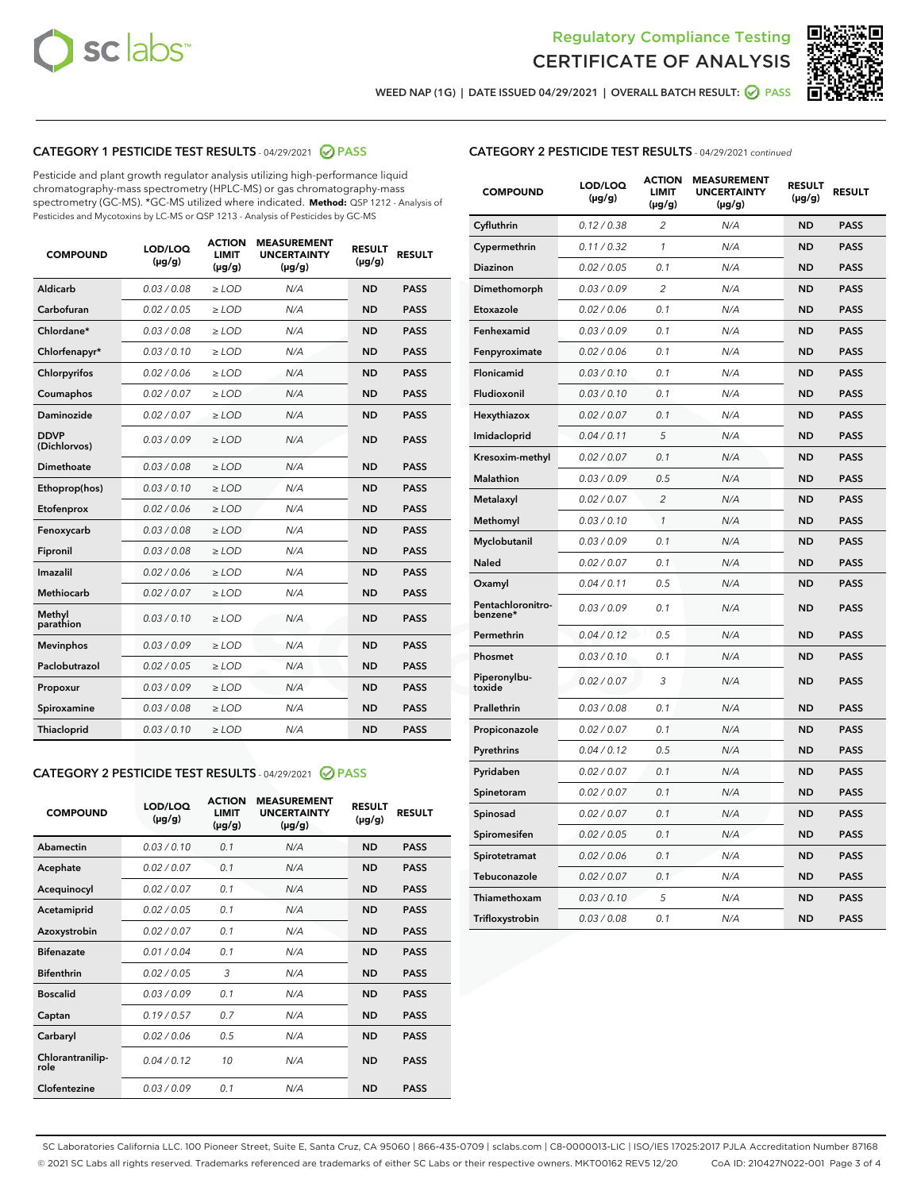



WEED NAP (1G) | DATE ISSUED 04/29/2021 | OVERALL BATCH RESULT: 0 PASS

## CATEGORY 1 PESTICIDE TEST RESULTS - 04/29/2021 2 PASS

Pesticide and plant growth regulator analysis utilizing high-performance liquid chromatography-mass spectrometry (HPLC-MS) or gas chromatography-mass spectrometry (GC-MS). \*GC-MS utilized where indicated. **Method:** QSP 1212 - Analysis of Pesticides and Mycotoxins by LC-MS or QSP 1213 - Analysis of Pesticides by GC-MS

| <b>COMPOUND</b>             | LOD/LOQ<br>$(\mu g/g)$ | <b>ACTION</b><br><b>LIMIT</b><br>$(\mu g/g)$ | <b>MEASUREMENT</b><br><b>UNCERTAINTY</b><br>$(\mu g/g)$ | <b>RESULT</b><br>$(\mu g/g)$ | <b>RESULT</b> |
|-----------------------------|------------------------|----------------------------------------------|---------------------------------------------------------|------------------------------|---------------|
| Aldicarb                    | 0.03/0.08              | $>$ LOD                                      | N/A                                                     | <b>ND</b>                    | <b>PASS</b>   |
| Carbofuran                  | 0.02 / 0.05            | $\ge$ LOD                                    | N/A                                                     | <b>ND</b>                    | <b>PASS</b>   |
| Chlordane*                  | 0.03 / 0.08            | $\ge$ LOD                                    | N/A                                                     | <b>ND</b>                    | <b>PASS</b>   |
| Chlorfenapyr*               | 0.03/0.10              | $\ge$ LOD                                    | N/A                                                     | <b>ND</b>                    | <b>PASS</b>   |
| Chlorpyrifos                | 0.02 / 0.06            | $\ge$ LOD                                    | N/A                                                     | <b>ND</b>                    | <b>PASS</b>   |
| Coumaphos                   | 0.02 / 0.07            | $\ge$ LOD                                    | N/A                                                     | <b>ND</b>                    | <b>PASS</b>   |
| Daminozide                  | 0.02/0.07              | $>$ LOD                                      | N/A                                                     | <b>ND</b>                    | <b>PASS</b>   |
| <b>DDVP</b><br>(Dichlorvos) | 0.03/0.09              | $\ge$ LOD                                    | N/A                                                     | <b>ND</b>                    | <b>PASS</b>   |
| <b>Dimethoate</b>           | 0.03 / 0.08            | $\ge$ LOD                                    | N/A                                                     | <b>ND</b>                    | <b>PASS</b>   |
| Ethoprop(hos)               | 0.03/0.10              | $\ge$ LOD                                    | N/A                                                     | <b>ND</b>                    | <b>PASS</b>   |
| Etofenprox                  | 0.02 / 0.06            | $\ge$ LOD                                    | N/A                                                     | <b>ND</b>                    | <b>PASS</b>   |
| Fenoxycarb                  | 0.03 / 0.08            | $\ge$ LOD                                    | N/A                                                     | <b>ND</b>                    | <b>PASS</b>   |
| Fipronil                    | 0.03 / 0.08            | $\ge$ LOD                                    | N/A                                                     | <b>ND</b>                    | <b>PASS</b>   |
| Imazalil                    | 0.02 / 0.06            | $\geq$ LOD                                   | N/A                                                     | <b>ND</b>                    | <b>PASS</b>   |
| Methiocarb                  | 0.02 / 0.07            | $>$ LOD                                      | N/A                                                     | <b>ND</b>                    | <b>PASS</b>   |
| Methyl<br>parathion         | 0.03/0.10              | $\ge$ LOD                                    | N/A                                                     | <b>ND</b>                    | <b>PASS</b>   |
| <b>Mevinphos</b>            | 0.03/0.09              | $\ge$ LOD                                    | N/A                                                     | <b>ND</b>                    | <b>PASS</b>   |
| Paclobutrazol               | 0.02 / 0.05            | $>$ LOD                                      | N/A                                                     | <b>ND</b>                    | <b>PASS</b>   |
| Propoxur                    | 0.03/0.09              | $\ge$ LOD                                    | N/A                                                     | <b>ND</b>                    | <b>PASS</b>   |
| Spiroxamine                 | 0.03 / 0.08            | $\ge$ LOD                                    | N/A                                                     | <b>ND</b>                    | <b>PASS</b>   |
| <b>Thiacloprid</b>          | 0.03/0.10              | $\ge$ LOD                                    | N/A                                                     | <b>ND</b>                    | <b>PASS</b>   |

#### CATEGORY 2 PESTICIDE TEST RESULTS - 04/29/2021 @ PASS

| <b>COMPOUND</b>          | LOD/LOQ<br>$(\mu g/g)$ | <b>ACTION</b><br><b>LIMIT</b><br>$(\mu g/g)$ | <b>MEASUREMENT</b><br><b>UNCERTAINTY</b><br>$(\mu g/g)$ | <b>RESULT</b><br>$(\mu g/g)$ | <b>RESULT</b> |
|--------------------------|------------------------|----------------------------------------------|---------------------------------------------------------|------------------------------|---------------|
| Abamectin                | 0.03/0.10              | 0.1                                          | N/A                                                     | <b>ND</b>                    | <b>PASS</b>   |
| Acephate                 | 0.02/0.07              | 0.1                                          | N/A                                                     | <b>ND</b>                    | <b>PASS</b>   |
| Acequinocyl              | 0.02/0.07              | 0.1                                          | N/A                                                     | <b>ND</b>                    | <b>PASS</b>   |
| Acetamiprid              | 0.02/0.05              | 0.1                                          | N/A                                                     | <b>ND</b>                    | <b>PASS</b>   |
| Azoxystrobin             | 0.02/0.07              | 0.1                                          | N/A                                                     | <b>ND</b>                    | <b>PASS</b>   |
| <b>Bifenazate</b>        | 0.01/0.04              | 0.1                                          | N/A                                                     | <b>ND</b>                    | <b>PASS</b>   |
| <b>Bifenthrin</b>        | 0.02 / 0.05            | 3                                            | N/A                                                     | <b>ND</b>                    | <b>PASS</b>   |
| <b>Boscalid</b>          | 0.03/0.09              | 0.1                                          | N/A                                                     | <b>ND</b>                    | <b>PASS</b>   |
| Captan                   | 0.19/0.57              | 0.7                                          | N/A                                                     | <b>ND</b>                    | <b>PASS</b>   |
| Carbaryl                 | 0.02/0.06              | 0.5                                          | N/A                                                     | <b>ND</b>                    | <b>PASS</b>   |
| Chlorantranilip-<br>role | 0.04/0.12              | 10                                           | N/A                                                     | <b>ND</b>                    | <b>PASS</b>   |
| Clofentezine             | 0.03/0.09              | 0.1                                          | N/A                                                     | <b>ND</b>                    | <b>PASS</b>   |

## CATEGORY 2 PESTICIDE TEST RESULTS - 04/29/2021 continued

| <b>COMPOUND</b>               | LOD/LOQ<br>(µg/g) | <b>ACTION</b><br>LIMIT<br>$(\mu g/g)$ | <b>MEASUREMENT</b><br><b>UNCERTAINTY</b><br>(µg/g) | <b>RESULT</b><br>(µg/g) | <b>RESULT</b> |
|-------------------------------|-------------------|---------------------------------------|----------------------------------------------------|-------------------------|---------------|
| Cyfluthrin                    | 0.12 / 0.38       | 2                                     | N/A                                                | ND                      | <b>PASS</b>   |
| Cypermethrin                  | 0.11 / 0.32       | 1                                     | N/A                                                | ND                      | PASS          |
| Diazinon                      | 0.02 / 0.05       | 0.1                                   | N/A                                                | ND                      | PASS          |
| Dimethomorph                  | 0.03 / 0.09       | 2                                     | N/A                                                | <b>ND</b>               | <b>PASS</b>   |
| Etoxazole                     | 0.02 / 0.06       | 0.1                                   | N/A                                                | ND                      | <b>PASS</b>   |
| Fenhexamid                    | 0.03 / 0.09       | 0.1                                   | N/A                                                | ND                      | <b>PASS</b>   |
| Fenpyroximate                 | 0.02 / 0.06       | 0.1                                   | N/A                                                | <b>ND</b>               | <b>PASS</b>   |
| Flonicamid                    | 0.03 / 0.10       | 0.1                                   | N/A                                                | <b>ND</b>               | <b>PASS</b>   |
| Fludioxonil                   | 0.03 / 0.10       | 0.1                                   | N/A                                                | <b>ND</b>               | <b>PASS</b>   |
| Hexythiazox                   | 0.02 / 0.07       | 0.1                                   | N/A                                                | <b>ND</b>               | PASS          |
| Imidacloprid                  | 0.04 / 0.11       | 5                                     | N/A                                                | <b>ND</b>               | <b>PASS</b>   |
| Kresoxim-methyl               | 0.02 / 0.07       | 0.1                                   | N/A                                                | ND                      | <b>PASS</b>   |
| Malathion                     | 0.03 / 0.09       | 0.5                                   | N/A                                                | <b>ND</b>               | <b>PASS</b>   |
| Metalaxyl                     | 0.02 / 0.07       | $\overline{c}$                        | N/A                                                | <b>ND</b>               | <b>PASS</b>   |
| Methomyl                      | 0.03 / 0.10       | 1                                     | N/A                                                | ND                      | <b>PASS</b>   |
| Myclobutanil                  | 0.03/0.09         | 0.1                                   | N/A                                                | <b>ND</b>               | <b>PASS</b>   |
| Naled                         | 0.02 / 0.07       | 0.1                                   | N/A                                                | ND                      | <b>PASS</b>   |
| Oxamyl                        | 0.04 / 0.11       | 0.5                                   | N/A                                                | ND                      | <b>PASS</b>   |
| Pentachloronitro-<br>benzene* | 0.03 / 0.09       | 0.1                                   | N/A                                                | ND                      | <b>PASS</b>   |
| Permethrin                    | 0.04/0.12         | 0.5                                   | N/A                                                | <b>ND</b>               | <b>PASS</b>   |
| Phosmet                       | 0.03 / 0.10       | 0.1                                   | N/A                                                | ND                      | <b>PASS</b>   |
| Piperonylbu-<br>toxide        | 0.02 / 0.07       | 3                                     | N/A                                                | <b>ND</b>               | <b>PASS</b>   |
| Prallethrin                   | 0.03 / 0.08       | 0.1                                   | N/A                                                | <b>ND</b>               | <b>PASS</b>   |
| Propiconazole                 | 0.02 / 0.07       | 0.1                                   | N/A                                                | ND                      | <b>PASS</b>   |
| Pyrethrins                    | 0.04 / 0.12       | 0.5                                   | N/A                                                | ND                      | <b>PASS</b>   |
| Pyridaben                     | 0.02 / 0.07       | 0.1                                   | N/A                                                | <b>ND</b>               | <b>PASS</b>   |
| Spinetoram                    | 0.02 / 0.07       | 0.1                                   | N/A                                                | ND                      | <b>PASS</b>   |
| Spinosad                      | 0.02 / 0.07       | 0.1                                   | N/A                                                | ND                      | <b>PASS</b>   |
| Spiromesifen                  | 0.02 / 0.05       | 0.1                                   | N/A                                                | <b>ND</b>               | <b>PASS</b>   |
| Spirotetramat                 | 0.02 / 0.06       | 0.1                                   | N/A                                                | ND                      | <b>PASS</b>   |
| Tebuconazole                  | 0.02 / 0.07       | 0.1                                   | N/A                                                | ND                      | <b>PASS</b>   |
| Thiamethoxam                  | 0.03 / 0.10       | 5                                     | N/A                                                | <b>ND</b>               | <b>PASS</b>   |
| Trifloxystrobin               | 0.03 / 0.08       | 0.1                                   | N/A                                                | <b>ND</b>               | <b>PASS</b>   |

SC Laboratories California LLC. 100 Pioneer Street, Suite E, Santa Cruz, CA 95060 | 866-435-0709 | sclabs.com | C8-0000013-LIC | ISO/IES 17025:2017 PJLA Accreditation Number 87168 © 2021 SC Labs all rights reserved. Trademarks referenced are trademarks of either SC Labs or their respective owners. MKT00162 REV5 12/20 CoA ID: 210427N022-001 Page 3 of 4